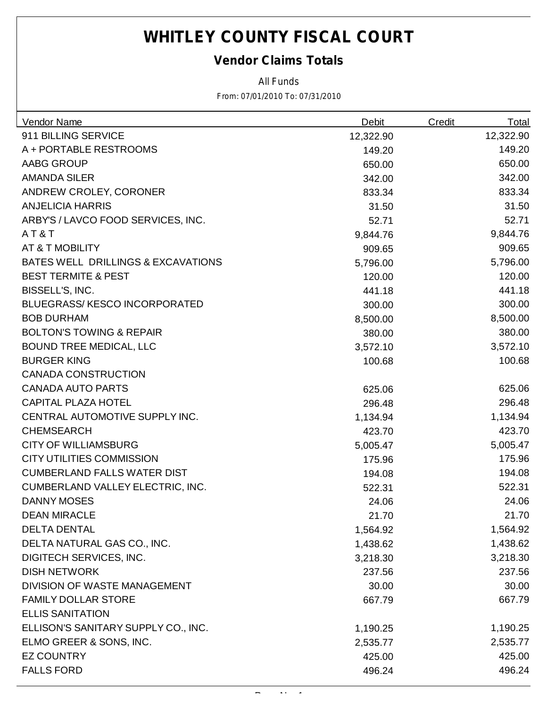# **WHITLEY COUNTY FISCAL COURT**

### *Vendor Claims Totals*

*All Funds*

*From: 07/01/2010 To: 07/31/2010*

| <b>Vendor Name</b>                  | <b>Debit</b> | <b>Credit</b> | <b>Total</b> |
|-------------------------------------|--------------|---------------|--------------|
| 911 BILLING SERVICE                 | 12,322.90    |               | 12,322.90    |
| A + PORTABLE RESTROOMS              | 149.20       |               | 149.20       |
| AABG GROUP                          | 650.00       |               | 650.00       |
| <b>AMANDA SILER</b>                 | 342.00       |               | 342.00       |
| ANDREW CROLEY, CORONER              | 833.34       |               | 833.34       |
| <b>ANJELICIA HARRIS</b>             | 31.50        |               | 31.50        |
| ARBY'S / LAVCO FOOD SERVICES, INC.  | 52.71        |               | 52.71        |
| AT&T                                | 9,844.76     |               | 9,844.76     |
| AT & T MOBILITY                     | 909.65       |               | 909.65       |
| BATES WELL DRILLINGS & EXCAVATIONS  | 5,796.00     |               | 5,796.00     |
| <b>BEST TERMITE &amp; PEST</b>      | 120.00       |               | 120.00       |
| BISSELL'S, INC.                     | 441.18       |               | 441.18       |
| <b>BLUEGRASS/KESCO INCORPORATED</b> | 300.00       |               | 300.00       |
| <b>BOB DURHAM</b>                   | 8,500.00     |               | 8,500.00     |
| <b>BOLTON'S TOWING &amp; REPAIR</b> | 380.00       |               | 380.00       |
| <b>BOUND TREE MEDICAL, LLC</b>      | 3,572.10     |               | 3,572.10     |
| <b>BURGER KING</b>                  | 100.68       |               | 100.68       |
| <b>CANADA CONSTRUCTION</b>          |              |               |              |
| <b>CANADA AUTO PARTS</b>            | 625.06       |               | 625.06       |
| <b>CAPITAL PLAZA HOTEL</b>          | 296.48       |               | 296.48       |
| CENTRAL AUTOMOTIVE SUPPLY INC.      | 1,134.94     |               | 1,134.94     |
| <b>CHEMSEARCH</b>                   | 423.70       |               | 423.70       |
| <b>CITY OF WILLIAMSBURG</b>         | 5,005.47     |               | 5,005.47     |
| <b>CITY UTILITIES COMMISSION</b>    | 175.96       |               | 175.96       |
| <b>CUMBERLAND FALLS WATER DIST</b>  | 194.08       |               | 194.08       |
| CUMBERLAND VALLEY ELECTRIC, INC.    | 522.31       |               | 522.31       |
| <b>DANNY MOSES</b>                  | 24.06        |               | 24.06        |
| <b>DEAN MIRACLE</b>                 | 21.70        |               | 21.70        |
| <b>DELTA DENTAL</b>                 | 1,564.92     |               | 1,564.92     |
| DELTA NATURAL GAS CO., INC.         | 1,438.62     |               | 1,438.62     |
| DIGITECH SERVICES, INC.             | 3,218.30     |               | 3,218.30     |
| <b>DISH NETWORK</b>                 | 237.56       |               | 237.56       |
| <b>DIVISION OF WASTE MANAGEMENT</b> | 30.00        |               | 30.00        |
| <b>FAMILY DOLLAR STORE</b>          | 667.79       |               | 667.79       |
| <b>ELLIS SANITATION</b>             |              |               |              |
| ELLISON'S SANITARY SUPPLY CO., INC. | 1,190.25     |               | 1,190.25     |
| ELMO GREER & SONS, INC.             | 2,535.77     |               | 2,535.77     |
| <b>EZ COUNTRY</b>                   | 425.00       |               | 425.00       |
| <b>FALLS FORD</b>                   | 496.24       |               | 496.24       |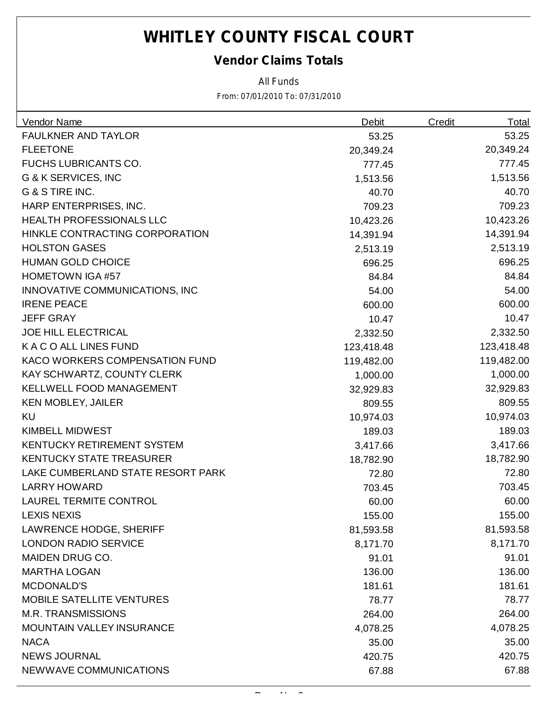# **WHITLEY COUNTY FISCAL COURT**

### *Vendor Claims Totals*

*All Funds*

*From: 07/01/2010 To: 07/31/2010*

| Vendor Name                       | Debit      | <b>Credit</b> | <u>Total</u> |
|-----------------------------------|------------|---------------|--------------|
| <b>FAULKNER AND TAYLOR</b>        | 53.25      |               | 53.25        |
| <b>FLEETONE</b>                   | 20,349.24  |               | 20,349.24    |
| FUCHS LUBRICANTS CO.              | 777.45     |               | 777.45       |
| G & K SERVICES, INC               | 1,513.56   |               | 1,513.56     |
| G & S TIRE INC.                   | 40.70      |               | 40.70        |
| HARP ENTERPRISES, INC.            | 709.23     |               | 709.23       |
| <b>HEALTH PROFESSIONALS LLC</b>   | 10,423.26  |               | 10,423.26    |
| HINKLE CONTRACTING CORPORATION    | 14,391.94  |               | 14,391.94    |
| <b>HOLSTON GASES</b>              | 2,513.19   |               | 2,513.19     |
| <b>HUMAN GOLD CHOICE</b>          | 696.25     |               | 696.25       |
| <b>HOMETOWN IGA #57</b>           | 84.84      |               | 84.84        |
| INNOVATIVE COMMUNICATIONS, INC    | 54.00      |               | 54.00        |
| <b>IRENE PEACE</b>                | 600.00     |               | 600.00       |
| <b>JEFF GRAY</b>                  | 10.47      |               | 10.47        |
| <b>JOE HILL ELECTRICAL</b>        | 2,332.50   |               | 2,332.50     |
| K A C O ALL LINES FUND            | 123,418.48 |               | 123,418.48   |
| KACO WORKERS COMPENSATION FUND    | 119,482.00 |               | 119,482.00   |
| KAY SCHWARTZ, COUNTY CLERK        | 1,000.00   |               | 1,000.00     |
| KELLWELL FOOD MANAGEMENT          | 32,929.83  |               | 32,929.83    |
| <b>KEN MOBLEY, JAILER</b>         | 809.55     |               | 809.55       |
| KU                                | 10,974.03  |               | 10,974.03    |
| <b>KIMBELL MIDWEST</b>            | 189.03     |               | 189.03       |
| KENTUCKY RETIREMENT SYSTEM        | 3,417.66   |               | 3,417.66     |
| KENTUCKY STATE TREASURER          | 18,782.90  |               | 18,782.90    |
| LAKE CUMBERLAND STATE RESORT PARK | 72.80      |               | 72.80        |
| <b>LARRY HOWARD</b>               | 703.45     |               | 703.45       |
| <b>LAUREL TERMITE CONTROL</b>     | 60.00      |               | 60.00        |
| <b>LEXIS NEXIS</b>                | 155.00     |               | 155.00       |
| <b>LAWRENCE HODGE, SHERIFF</b>    | 81,593.58  |               | 81,593.58    |
| <b>LONDON RADIO SERVICE</b>       | 8,171.70   |               | 8,171.70     |
| MAIDEN DRUG CO.                   | 91.01      |               | 91.01        |
| <b>MARTHA LOGAN</b>               | 136.00     |               | 136.00       |
| <b>MCDONALD'S</b>                 | 181.61     |               | 181.61       |
| <b>MOBILE SATELLITE VENTURES</b>  | 78.77      |               | 78.77        |
| <b>M.R. TRANSMISSIONS</b>         | 264.00     |               | 264.00       |
| <b>MOUNTAIN VALLEY INSURANCE</b>  | 4,078.25   |               | 4,078.25     |
| <b>NACA</b>                       | 35.00      |               | 35.00        |
| <b>NEWS JOURNAL</b>               | 420.75     |               | 420.75       |
| NEWWAVE COMMUNICATIONS            | 67.88      |               | 67.88        |